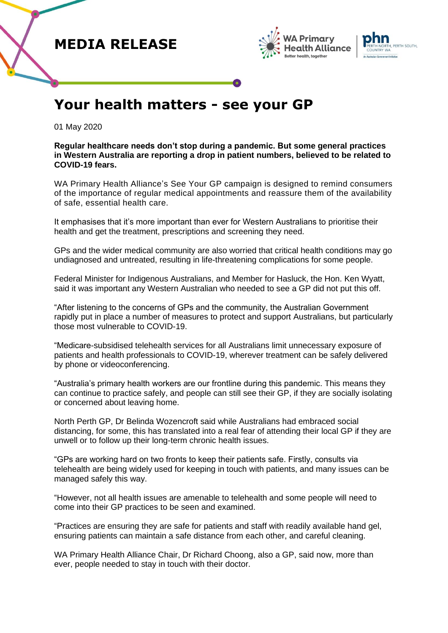





## **Your health matters - see your GP**

01 May 2020

**Regular healthcare needs don't stop during a pandemic. But some general practices in Western Australia are reporting a drop in patient numbers, believed to be related to COVID-19 fears.**

WA Primary Health Alliance's See Your GP campaign is designed to remind consumers of the importance of regular medical appointments and reassure them of the availability of safe, essential health care.

It emphasises that it's more important than ever for Western Australians to prioritise their health and get the treatment, prescriptions and screening they need.

GPs and the wider medical community are also worried that critical health conditions may go undiagnosed and untreated, resulting in life-threatening complications for some people.

Federal Minister for Indigenous Australians, and Member for Hasluck, the Hon. Ken Wyatt, said it was important any Western Australian who needed to see a GP did not put this off.

"After listening to the concerns of GPs and the community, the Australian Government rapidly put in place a number of measures to protect and support Australians, but particularly those most vulnerable to COVID-19.

"Medicare-subsidised telehealth services for all Australians limit unnecessary exposure of patients and health professionals to COVID-19, wherever treatment can be safely delivered by phone or videoconferencing.

"Australia's primary health workers are our frontline during this pandemic. This means they can continue to practice safely, and people can still see their GP, if they are socially isolating or concerned about leaving home.

North Perth GP, Dr Belinda Wozencroft said while Australians had embraced social distancing, for some, this has translated into a real fear of attending their local GP if they are unwell or to follow up their long-term chronic health issues.

"GPs are working hard on two fronts to keep their patients safe. Firstly, consults via telehealth are being widely used for keeping in touch with patients, and many issues can be managed safely this way.

"However, not all health issues are amenable to telehealth and some people will need to come into their GP practices to be seen and examined.

"Practices are ensuring they are safe for patients and staff with readily available hand gel, ensuring patients can maintain a safe distance from each other, and careful cleaning.

WA Primary Health Alliance Chair, Dr Richard Choong, also a GP, said now, more than ever, people needed to stay in touch with their doctor.